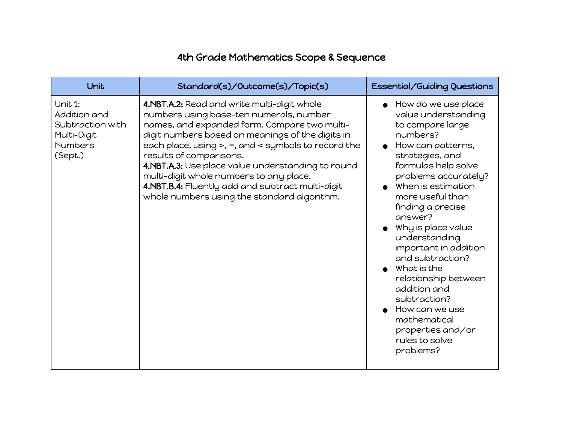## 4th Grade Mathematics Scope & Sequence

| Unit                                                                                    | Standard(s)/Outcome(s)/Topic(s)                                                                                                                                                                                                                                                                                                                                                                                                                                                      | Essential/Guiding Questions                                                                                                                                                                                                                                                                                                                                                                                                                                                                                                          |
|-----------------------------------------------------------------------------------------|--------------------------------------------------------------------------------------------------------------------------------------------------------------------------------------------------------------------------------------------------------------------------------------------------------------------------------------------------------------------------------------------------------------------------------------------------------------------------------------|--------------------------------------------------------------------------------------------------------------------------------------------------------------------------------------------------------------------------------------------------------------------------------------------------------------------------------------------------------------------------------------------------------------------------------------------------------------------------------------------------------------------------------------|
| Unit 1:<br>Addition and<br>Subtraction with<br>Multi-Digit<br><b>Numbers</b><br>(Sept.) | 4.NBT.A.2: Read and write multi-digit whole<br>numbers using base-ten numerals, number<br>names, and expanded form. Compare two multi-<br>digit numbers based on meanings of the digits in<br>each place, using $>$ , =, and $<$ symbols to record the<br>results of comparisons.<br>4.NBT.A.3: Use place value understanding to round<br>multi-digit whole numbers to any place.<br>4.NBT.B.4: Fluently add and subtract multi-digit<br>whole numbers using the standard algorithm. | $\bullet$ How do we use place<br>value understanding<br>to compare large<br>numbers?<br>How can patterns,<br>strategies, and<br>formulas help solve<br>problems accurately?<br>When is estimation<br>more useful than<br>finding a precise<br>answer?<br>$\bullet$ Why is place value<br>understanding<br>important in addition<br>and subtraction?<br>$\bullet$ What is the<br>relationship between<br>addition and<br>subtraction?<br>$\bullet$ How can we use<br>mathematical<br>properties and/or<br>rules to solve<br>problems? |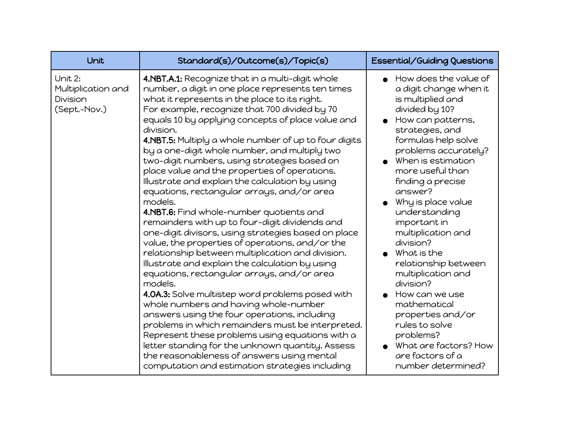| Unit                                                      | Standard(s)/Outcome(s)/Topic(s)                                                                                                                                                                                                                                                                                                                                                                                                                                                                                                                                                                                                                                                                                                                                                                                                                                                                                                                                                                                                                                                                                                                                                                                                                                                                                                                                                     | <b>Essential/Guiding Questions</b>                                                                                                                                                                                                                                                                                                                                                                                                                                                                                                                                                   |
|-----------------------------------------------------------|-------------------------------------------------------------------------------------------------------------------------------------------------------------------------------------------------------------------------------------------------------------------------------------------------------------------------------------------------------------------------------------------------------------------------------------------------------------------------------------------------------------------------------------------------------------------------------------------------------------------------------------------------------------------------------------------------------------------------------------------------------------------------------------------------------------------------------------------------------------------------------------------------------------------------------------------------------------------------------------------------------------------------------------------------------------------------------------------------------------------------------------------------------------------------------------------------------------------------------------------------------------------------------------------------------------------------------------------------------------------------------------|--------------------------------------------------------------------------------------------------------------------------------------------------------------------------------------------------------------------------------------------------------------------------------------------------------------------------------------------------------------------------------------------------------------------------------------------------------------------------------------------------------------------------------------------------------------------------------------|
| Unit 2:<br>Multiplication and<br>Division<br>(Sept.-Nov.) | 4.NBT.A.1: Recognize that in a multi-digit whole<br>number, a digit in one place represents ten times<br>what it represents in the place to its right.<br>For example, recognize that 700 divided by 70<br>equals 10 by applying concepts of place value and<br>division.<br>4.NBT.5: Multiply a whole number of up to four digits<br>by a one-digit whole number, and multiply two<br>two-digit numbers, using strategies based on<br>place value and the properties of operations.<br>Illustrate and explain the calculation by using<br>equations, rectangular arrays, and/or area<br>models.<br>4.NBT.6: Find whole-number quotients and<br>remainders with up to four-digit dividends and<br>one-digit divisors, using strategies based on place<br>value, the properties of operations, and/or the<br>relationship between multiplication and division.<br>Illustrate and explain the calculation by using<br>equations, rectangular arrays, and/or area<br>models.<br>4.0A.3: Solve multistep word problems posed with<br>whole numbers and having whole-number<br>answers using the four operations, including<br>problems in which remainders must be interpreted.<br>Represent these problems using equations with a<br>letter standing for the unknown quantity. Assess<br>the reasonableness of answers using mental<br>computation and estimation strategies including | How does the value of<br>a digit change when it<br>is multiplied and<br>divided by 10?<br>How can patterns,<br>strategies, and<br>formulas help solve<br>problems accurately?<br>When is estimation<br>more useful than<br>finding a precise<br>answer?<br>Why is place value<br>understanding<br>important in<br>multiplication and<br>division?<br>What is the<br>relationship between<br>multiplication and<br>division?<br>How can we use<br>mathematical<br>properties and/or<br>rules to solve<br>problems?<br>What are factors? How<br>are factors of a<br>number determined? |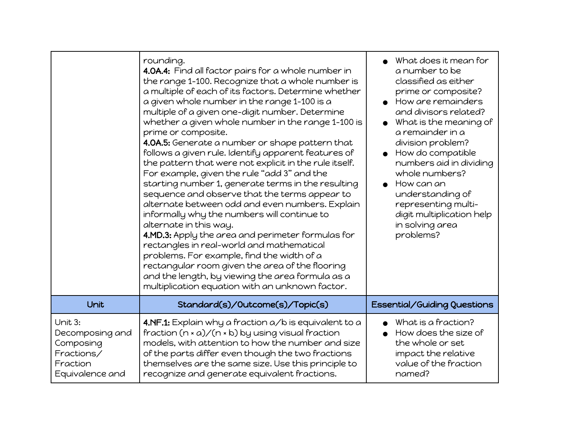|                                                                                      | rounding.<br>4.0A.4: Find all factor pairs for a whole number in<br>the range 1-100. Recognize that a whole number is<br>a multiple of each of its factors. Determine whether<br>a given whole number in the range 1-100 is a<br>multiple of a given one-digit number. Determine<br>whether a given whole number in the range 1-100 is<br>prime or composite.<br>4.0A.5: Generate a number or shape pattern that<br>follows a given rule. Identify apparent features of<br>the pattern that were not explicit in the rule itself.<br>For example, given the rule "add 3" and the<br>starting number 1, generate terms in the resulting<br>sequence and observe that the terms appear to<br>alternate between odd and even numbers. Explain<br>informally why the numbers will continue to<br>alternate in this way.<br>4.MD.3: Apply the area and perimeter formulas for<br>rectangles in real-world and mathematical<br>problems. For example, find the width of a<br>rectangular room given the area of the flooring<br>and the length, by viewing the area formula as a<br>multiplication equation with an unknown factor. | What does it mean for<br>a number to be<br>classified as either<br>prime or composite?<br>How are remainders<br>and divisors related?<br>What is the meaning of<br>a remainder in a<br>division problem?<br>How do compatible<br>numbers aid in dividing<br>whole numbers?<br>How can an<br>understanding of<br>representing multi-<br>digit multiplication help<br>in solving area<br>problems? |
|--------------------------------------------------------------------------------------|-------------------------------------------------------------------------------------------------------------------------------------------------------------------------------------------------------------------------------------------------------------------------------------------------------------------------------------------------------------------------------------------------------------------------------------------------------------------------------------------------------------------------------------------------------------------------------------------------------------------------------------------------------------------------------------------------------------------------------------------------------------------------------------------------------------------------------------------------------------------------------------------------------------------------------------------------------------------------------------------------------------------------------------------------------------------------------------------------------------------------------|--------------------------------------------------------------------------------------------------------------------------------------------------------------------------------------------------------------------------------------------------------------------------------------------------------------------------------------------------------------------------------------------------|
| Unit                                                                                 | Standard(s)/Outcome(s)/Topic(s)                                                                                                                                                                                                                                                                                                                                                                                                                                                                                                                                                                                                                                                                                                                                                                                                                                                                                                                                                                                                                                                                                               | Essential/Guiding Questions                                                                                                                                                                                                                                                                                                                                                                      |
| Unit 3:<br>Decomposing and<br>Composing<br>Fractions/<br>Fraction<br>Equivalence and | 4.NF.1: Explain why a fraction a/b is equivalent to a<br>fraction $(n * a) / (n * b)$ by using visual fraction<br>models, with attention to how the number and size<br>of the parts differ even though the two fractions<br>themselves are the same size. Use this principle to<br>recognize and generate equivalent fractions.                                                                                                                                                                                                                                                                                                                                                                                                                                                                                                                                                                                                                                                                                                                                                                                               | What is a fraction?<br>How does the size of<br>the whole or set<br>impact the relative<br>value of the fraction<br>named?                                                                                                                                                                                                                                                                        |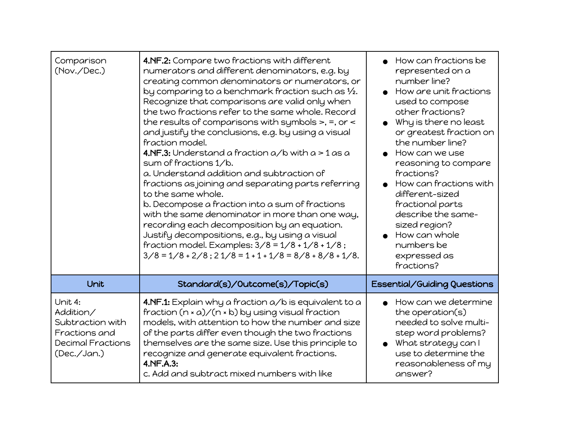| Comparison<br>(Nov./Dec.)                                                                            | 4.NF.2: Compare two fractions with different<br>numerators and different denominators, e.g. by<br>creating common denominators or numerators, or<br>by comparing to a benchmark fraction such as $\frac{1}{2}$ .<br>Recognize that comparisons are valid only when<br>the two fractions refer to the same whole. Record<br>the results of comparisons with symbols $>$ , =, or $<$<br>and justify the conclusions, e.g. by using a visual<br>fraction model.<br><b>4.NF.3:</b> Understand a fraction $a/b$ with $a > 1$ as a<br>sum of fractions 1/b.<br>a. Understand addition and subtraction of<br>fractions as joining and separating parts referring<br>to the same whole.<br>b. Decompose a fraction into a sum of fractions<br>with the same denominator in more than one way,<br>recording each decomposition by an equation.<br>Justify decompositions, e.g., by using a visual<br>fraction model. Examples: $3/8 = 1/8 + 1/8 + 1/8$ ;<br>$3/8 = 1/8 + 2/8$ ; $21/8 = 1 + 1 + 1/8 = 8/8 + 8/8 + 1/8$ . | How can fractions be<br>represented on a<br>number line?<br>How are unit fractions<br>used to compose<br>other fractions?<br>Why is there no least<br>or greatest fraction on<br>the number line?<br>How can we use<br>reasoning to compare<br>fractions?<br>How can fractions with<br>different-sized<br>fractional parts<br>describe the same-<br>sized region?<br>How can whole<br>numbers be<br>expressed as<br>fractions? |
|------------------------------------------------------------------------------------------------------|-----------------------------------------------------------------------------------------------------------------------------------------------------------------------------------------------------------------------------------------------------------------------------------------------------------------------------------------------------------------------------------------------------------------------------------------------------------------------------------------------------------------------------------------------------------------------------------------------------------------------------------------------------------------------------------------------------------------------------------------------------------------------------------------------------------------------------------------------------------------------------------------------------------------------------------------------------------------------------------------------------------------|--------------------------------------------------------------------------------------------------------------------------------------------------------------------------------------------------------------------------------------------------------------------------------------------------------------------------------------------------------------------------------------------------------------------------------|
| Unit                                                                                                 | Standard(s)/Outcome(s)/Topic(s)                                                                                                                                                                                                                                                                                                                                                                                                                                                                                                                                                                                                                                                                                                                                                                                                                                                                                                                                                                                 | Essential/Guiding Questions                                                                                                                                                                                                                                                                                                                                                                                                    |
| Unit 4:<br>Addition/<br>Subtraction with<br>Fractions and<br><b>Decimal Fractions</b><br>(Dec./Jan.) | 4.NF.1: Explain why a fraction a/b is equivalent to a<br>fraction $(n * a) / (n * b)$ by using visual fraction<br>models, with attention to how the number and size<br>of the parts differ even though the two fractions<br>themselves are the same size. Use this principle to<br>recognize and generate equivalent fractions.<br>4.NF.A.3:<br>c. Add and subtract mixed numbers with like                                                                                                                                                                                                                                                                                                                                                                                                                                                                                                                                                                                                                     | How can we determine<br>the operation(s)<br>needed to solve multi-<br>step word problems?<br>What strategy can l<br>use to determine the<br>reasonableness of my<br>answer?                                                                                                                                                                                                                                                    |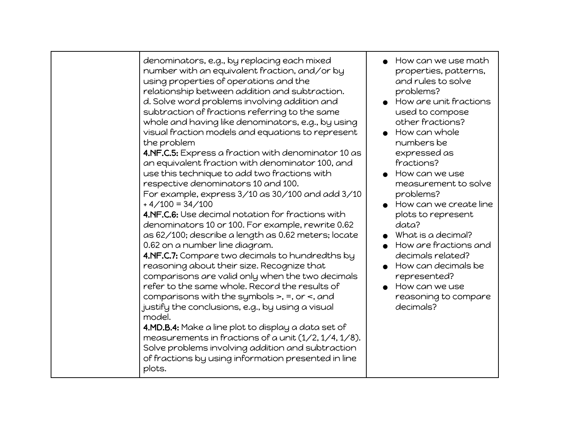|  | denominators, e.g., by replacing each mixed<br>number with an equivalent fraction, and/or by<br>using properties of operations and the<br>relationship between addition and subtraction.<br>d. Solve word problems involving addition and<br>subtraction of fractions referring to the same<br>whole and having like denominators, e.g., by using<br>visual fraction models and equations to represent<br>the problem<br>4.NF.C.5: Express a fraction with denominator 10 as<br>an equivalent fraction with denominator 100, and<br>use this technique to add two fractions with<br>respective denominators 10 and 100.<br>For example, express 3/10 as 30/100 and add 3/10<br>$+4/100 = 34/100$<br>4.NF.C.6: Use decimal notation for fractions with<br>denominators 10 or 100. For example, rewrite 0.62<br>as 62/100; describe a length as 0.62 meters; locate<br>0.62 on a number line diagram.<br>4.NF.C.7: Compare two decimals to hundredths by<br>reasoning about their size. Recognize that<br>comparisons are valid only when the two decimals<br>refer to the same whole. Record the results of<br>comparisons with the symbols $\ge$ , $\equiv$ , or $\le$ , and<br>justify the conclusions, e.g., by using a visual<br>model.<br>4.MD.B.4: Make a line plot to display a data set of<br>measurements in fractions of a unit $(1/2, 1/4, 1/8)$ .<br>Solve problems involving addition and subtraction<br>of fractions by using information presented in line<br>plots. | How can we use math<br>properties, patterns,<br>and rules to solve<br>problems?<br>$\bullet$ How are unit fractions<br>used to compose<br>other fractions?<br>How can whole<br>numbers be<br>expressed as<br>fractions?<br>How can we use<br>measurement to solve<br>problems?<br>How can we create line<br>plots to represent<br>data?<br>What is a decimal?<br>How are fractions and<br>decimals related?<br>How can decimals be<br>represented?<br>How can we use<br>reasoning to compare<br>decimals? |
|--|------------------------------------------------------------------------------------------------------------------------------------------------------------------------------------------------------------------------------------------------------------------------------------------------------------------------------------------------------------------------------------------------------------------------------------------------------------------------------------------------------------------------------------------------------------------------------------------------------------------------------------------------------------------------------------------------------------------------------------------------------------------------------------------------------------------------------------------------------------------------------------------------------------------------------------------------------------------------------------------------------------------------------------------------------------------------------------------------------------------------------------------------------------------------------------------------------------------------------------------------------------------------------------------------------------------------------------------------------------------------------------------------------------------------------------------------------------------------------------|-----------------------------------------------------------------------------------------------------------------------------------------------------------------------------------------------------------------------------------------------------------------------------------------------------------------------------------------------------------------------------------------------------------------------------------------------------------------------------------------------------------|
|--|------------------------------------------------------------------------------------------------------------------------------------------------------------------------------------------------------------------------------------------------------------------------------------------------------------------------------------------------------------------------------------------------------------------------------------------------------------------------------------------------------------------------------------------------------------------------------------------------------------------------------------------------------------------------------------------------------------------------------------------------------------------------------------------------------------------------------------------------------------------------------------------------------------------------------------------------------------------------------------------------------------------------------------------------------------------------------------------------------------------------------------------------------------------------------------------------------------------------------------------------------------------------------------------------------------------------------------------------------------------------------------------------------------------------------------------------------------------------------------|-----------------------------------------------------------------------------------------------------------------------------------------------------------------------------------------------------------------------------------------------------------------------------------------------------------------------------------------------------------------------------------------------------------------------------------------------------------------------------------------------------------|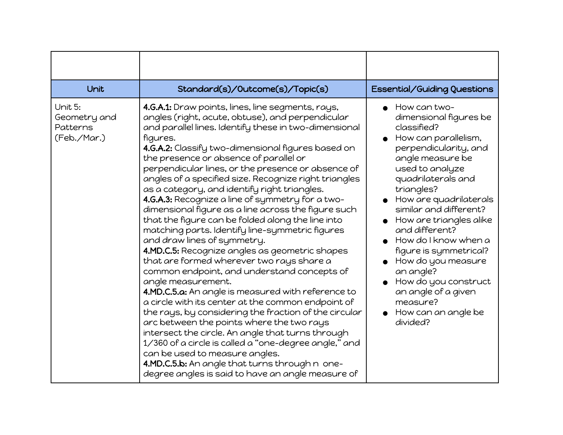| Unit                                               | Standard(s)/Outcome(s)/Topic(s)                                                                                                                                                                                                                                                                                                                                                                                                                                                                                                                                                                                                                                                                                                                                                                                                                                                                                                                                                                                                                                                                                                                                                                                                                                                                                                          | Essential/Guiding Questions                                                                                                                                                                                                                                                                                                                                                                                                                                           |
|----------------------------------------------------|------------------------------------------------------------------------------------------------------------------------------------------------------------------------------------------------------------------------------------------------------------------------------------------------------------------------------------------------------------------------------------------------------------------------------------------------------------------------------------------------------------------------------------------------------------------------------------------------------------------------------------------------------------------------------------------------------------------------------------------------------------------------------------------------------------------------------------------------------------------------------------------------------------------------------------------------------------------------------------------------------------------------------------------------------------------------------------------------------------------------------------------------------------------------------------------------------------------------------------------------------------------------------------------------------------------------------------------|-----------------------------------------------------------------------------------------------------------------------------------------------------------------------------------------------------------------------------------------------------------------------------------------------------------------------------------------------------------------------------------------------------------------------------------------------------------------------|
| Unit 5:<br>Geometry and<br>Patterns<br>(Feb./Mar.) | 4.G.A.1: Draw points, lines, line segments, rays,<br>angles (right, acute, obtuse), and perpendicular<br>and parallel lines. Identify these in two-dimensional<br>figures.<br>4.G.A.2: Classify two-dimensional figures based on<br>the presence or absence of parallel or<br>perpendicular lines, or the presence or absence of<br>angles of a specified size. Recognize right triangles<br>as a category, and identify right triangles.<br>4.G.A.3: Recognize a line of symmetry for a two-<br>dimensional figure as a line across the figure such<br>that the figure can be folded along the line into<br>matching parts. Identify line-symmetric figures<br>and draw lines of symmetry.<br>4.MD.C.5: Recognize angles as geometric shapes<br>that are formed wherever two rays share a<br>common endpoint, and understand concepts of<br>angle measurement.<br>4.MD.C.5.a: An angle is measured with reference to<br>a circle with its center at the common endpoint of<br>the rays, by considering the fraction of the circular<br>arc between the points where the two rays<br>intersect the circle. An angle that turns through<br>1/360 of a circle is called a "one-degree angle," and<br>can be used to measure angles.<br>4.MD.C.5.b: An angle that turns through n one-<br>degree angles is said to have an angle measure of | How can two-<br>dimensional figures be<br>classified?<br>How can parallelism,<br>perpendicularity, and<br>angle measure be<br>used to analyze<br>quadrilaterals and<br>triangles?<br>How are quadrilaterals<br>similar and different?<br>How are triangles alike<br>and different?<br>How do I know when a<br>figure is symmetrical?<br>How do you measure<br>an angle?<br>How do you construct<br>an angle of a given<br>measure?<br>How can an angle be<br>divided? |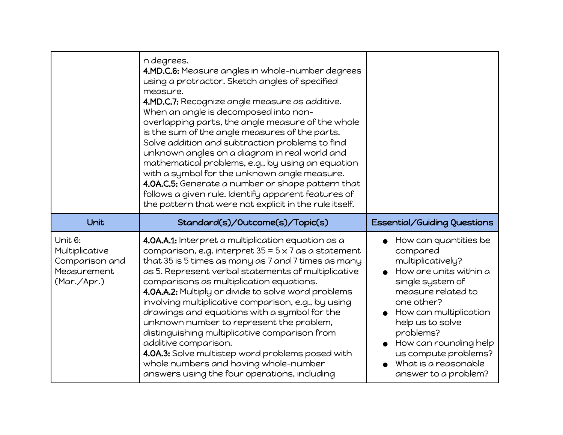|                                                                           | n degrees.<br>4.MD.C.6: Measure angles in whole-number degrees<br>using a protractor. Sketch angles of specified<br>measure.<br>4.MD.C.7: Recognize angle measure as additive.<br>When an angle is decomposed into non-<br>overlapping parts, the angle measure of the whole<br>is the sum of the angle measures of the parts.<br>Solve addition and subtraction problems to find<br>unknown angles on a diagram in real world and<br>mathematical problems, e.g., by using an equation<br>with a symbol for the unknown angle measure.<br>4.0A.C.5: Generate a number or shape pattern that<br>follows a given rule. Identify apparent features of<br>the pattern that were not explicit in the rule itself. |                                                                                                                                                                                                                                                                                                      |
|---------------------------------------------------------------------------|---------------------------------------------------------------------------------------------------------------------------------------------------------------------------------------------------------------------------------------------------------------------------------------------------------------------------------------------------------------------------------------------------------------------------------------------------------------------------------------------------------------------------------------------------------------------------------------------------------------------------------------------------------------------------------------------------------------|------------------------------------------------------------------------------------------------------------------------------------------------------------------------------------------------------------------------------------------------------------------------------------------------------|
| Unit                                                                      | Standard(s)/Outcome(s)/Topic(s)                                                                                                                                                                                                                                                                                                                                                                                                                                                                                                                                                                                                                                                                               | Essential/Guiding Questions                                                                                                                                                                                                                                                                          |
| Unit 6:<br>Multiplicative<br>Comparison and<br>Measurement<br>(Mar./Apr.) | 4.0A.A.1: Interpret a multiplication equation as a<br>comparison, e.g. interpret $35 = 5 \times 7$ as a statement<br>that 35 is 5 times as many as 7 and 7 times as many<br>as 5. Represent verbal statements of multiplicative<br>comparisons as multiplication equations.<br>4.0A.A.2: Multiply or divide to solve word problems<br>involving multiplicative comparison, e.g., by using<br>drawings and equations with a symbol for the<br>unknown number to represent the problem,<br>distinguishing multiplicative comparison from<br>additive comparison.<br>4.0A.3: Solve multistep word problems posed with<br>whole numbers and having whole-number<br>answers using the four operations, including   | How can quantities be<br>compared<br>multiplicatively?<br>How are units within a<br>single system of<br>measure related to<br>one other?<br>How can multiplication<br>help us to solve<br>problems?<br>How can rounding help<br>us compute problems?<br>What is a reasonable<br>answer to a problem? |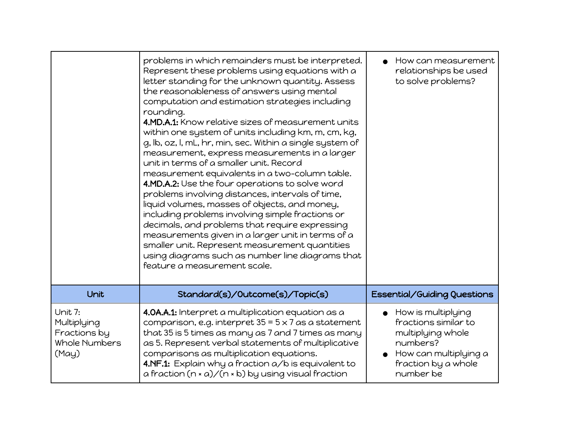|                                                                  | problems in which remainders must be interpreted.<br>Represent these problems using equations with a<br>letter standing for the unknown quantity. Assess<br>the reasonableness of answers using mental<br>computation and estimation strategies including<br>rounding.<br>4.MD.A.1: Know relative sizes of measurement units<br>within one system of units including km, m, cm, kg,<br>g, lb, oz, l, mL, hr, min, sec. Within a single system of<br>measurement, express measurements in a larger<br>unit in terms of a smaller unit. Record<br>measurement equivalents in a two-column table.<br>4.MD.A.2: Use the four operations to solve word<br>problems involving distances, intervals of time,<br>liquid volumes, masses of objects, and money,<br>including problems involving simple fractions or<br>decimals, and problems that require expressing<br>measurements given in a larger unit in terms of a<br>smaller unit. Represent measurement quantities<br>using diagrams such as number line diagrams that<br>feature a measurement scale. | How can measurement<br>relationships be used<br>to solve problems?                                                                                 |
|------------------------------------------------------------------|---------------------------------------------------------------------------------------------------------------------------------------------------------------------------------------------------------------------------------------------------------------------------------------------------------------------------------------------------------------------------------------------------------------------------------------------------------------------------------------------------------------------------------------------------------------------------------------------------------------------------------------------------------------------------------------------------------------------------------------------------------------------------------------------------------------------------------------------------------------------------------------------------------------------------------------------------------------------------------------------------------------------------------------------------------|----------------------------------------------------------------------------------------------------------------------------------------------------|
| Unit                                                             | Standard(s)/Outcome(s)/Topic(s)                                                                                                                                                                                                                                                                                                                                                                                                                                                                                                                                                                                                                                                                                                                                                                                                                                                                                                                                                                                                                         | Essential/Guiding Questions                                                                                                                        |
| Unit 7:<br>Multiplying<br>Fractions by<br>Whole Numbers<br>(May) | 4.0A.A.1: Interpret a multiplication equation as a<br>comparison, e.g. interpret $35 = 5 \times 7$ as a statement<br>that 35 is 5 times as many as 7 and 7 times as many<br>as 5. Represent verbal statements of multiplicative<br>comparisons as multiplication equations.<br>4.NF.1: Explain why a fraction a/b is equivalent to<br>a fraction $(n * a) / (n * b)$ by using visual fraction                                                                                                                                                                                                                                                                                                                                                                                                                                                                                                                                                                                                                                                           | $\bullet$ How is multiplying<br>fractions similar to<br>multiplying whole<br>numbers?<br>How can multiplying a<br>fraction by a whole<br>number be |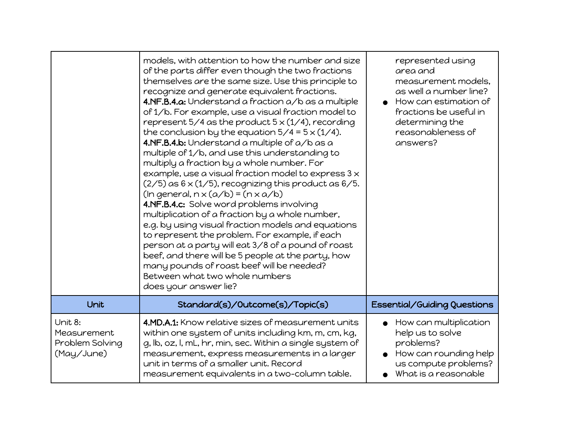|                                                         | models, with attention to how the number and size<br>of the parts differ even though the two fractions<br>themselves are the same size. Use this principle to<br>recognize and generate equivalent fractions.<br>4.NF.B.4.a: Understand a fraction a/b as a multiple<br>of 1/b. For example, use a visual fraction model to<br>represent 5/4 as the product $5 \times (1/4)$ , recording<br>the conclusion by the equation $5/4 = 5 \times (1/4)$ .<br>4.NF.B.4.b: Understand a multiple of a/b as a<br>multiple of 1/b, and use this understanding to<br>multiply a fraction by a whole number. For<br>example, use a visual fraction model to express $3 \times$<br>$(2/5)$ as $6 \times (1/5)$ , recognizing this product as $6/5$ .<br>$(ln general, n \times (a/b) = (n \times a/b)$<br>4.NF.B.4.c: Solve word problems involving<br>multiplication of a fraction by a whole number,<br>e.g. by using visual fraction models and equations<br>to represent the problem. For example, if each<br>person at a party will eat 3/8 of a pound of roast<br>beef, and there will be 5 people at the party, how<br>many pounds of roast beef will be needed?<br>Between what two whole numbers<br>does your answer lie? | represented using<br>area and<br>measurement models,<br>as well a number line?<br>How can estimation of<br>fractions be useful in<br>determining the<br>reasonableness of<br>answers? |
|---------------------------------------------------------|-----------------------------------------------------------------------------------------------------------------------------------------------------------------------------------------------------------------------------------------------------------------------------------------------------------------------------------------------------------------------------------------------------------------------------------------------------------------------------------------------------------------------------------------------------------------------------------------------------------------------------------------------------------------------------------------------------------------------------------------------------------------------------------------------------------------------------------------------------------------------------------------------------------------------------------------------------------------------------------------------------------------------------------------------------------------------------------------------------------------------------------------------------------------------------------------------------------------------|---------------------------------------------------------------------------------------------------------------------------------------------------------------------------------------|
| Unit                                                    | Standard(s)/Outcome(s)/Topic(s)                                                                                                                                                                                                                                                                                                                                                                                                                                                                                                                                                                                                                                                                                                                                                                                                                                                                                                                                                                                                                                                                                                                                                                                       | Essential/Guiding Questions                                                                                                                                                           |
| Unit 8:<br>Measurement<br>Problem Solving<br>(May/June) | 4.MD.A.1: Know relative sizes of measurement units<br>within one system of units including km, m, cm, kg,<br>g, lb, oz, l, mL, hr, min, sec. Within a single system of<br>measurement, express measurements in a larger<br>unit in terms of a smaller unit. Record<br>measurement equivalents in a two-column table.                                                                                                                                                                                                                                                                                                                                                                                                                                                                                                                                                                                                                                                                                                                                                                                                                                                                                                  | $\bullet$ How can multiplication<br>help us to solve<br>problems?<br>How can rounding help<br>us compute problems?<br>What is a reasonable                                            |